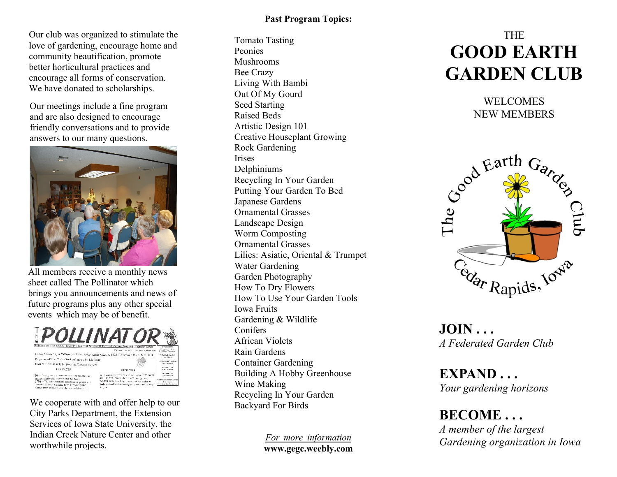Our club was organized to stimulate the love of gardening, encourage home and community beautification, promote better horticultural practices and encourage all forms of conservation. We have donated to scholarships.

Our meetings include a fine program and are also designed to encourage friendly conversations and to provide answers to our many questions.



All members receive a monthly news sheet called The Pollinator which brings you announcements and news of future programs plus any other special events which may be of benefit.



We cooperate with and offer help to our City Parks Department, the Extension Services of Iowa State University, the Indian Creek Nature Center and other worthwhile projects.

# **Past Program Topics:**

Tomato Tasting Peonies Mushrooms Bee Crazy Living With Bambi Out Of My Gourd Seed Starting Raised Beds Artistic Design 101 Creative Houseplant Growing Rock Gardening **Irises** Delphiniums Recycling In Your Garden Putting Your Garden To Bed Japanese Gardens Ornamental Grasses Landscape Design Worm Composting Ornamental Grasses Lilies: Asiatic, Oriental & Trumpet Water Gardening Garden Photography How To Dry Flowers How To Use Your Garden Tools Iowa Fruits Gardening & Wildlife Conifers African Violets Rain Gardens Container Gardening Building A Hobby Greenhouse Wine Making Recycling In Your Garden Backyard For Birds

> *For more information* **www.gegc.weebly.com**

# THE **GOOD EARTH GARDEN CLUB**

WELCOMES NEW MEMBERS



**JOIN . . .** *A Federated Garden Club*

**EXPAND . . .** *Your gardening horizons*

**BECOME . . .** *A member of the largest Gardening organization in Iowa*